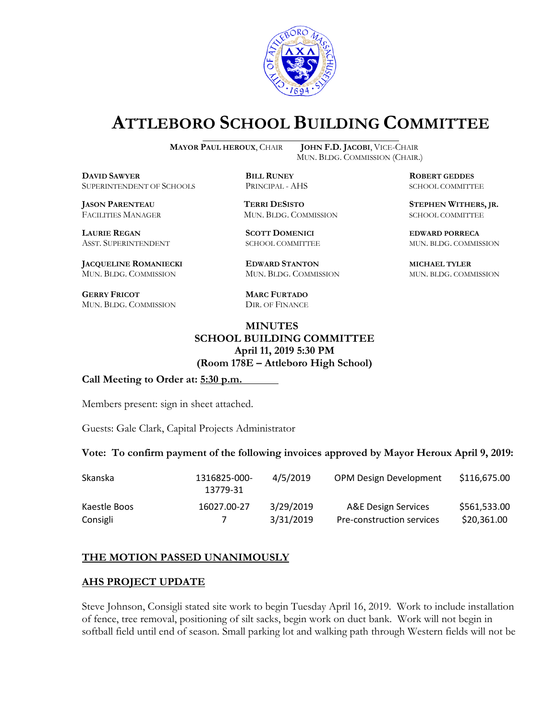

# **ATTLEBORO SCHOOL BUILDING COMMITTEE**

**DDAWYER BILL RUNEY ROBERT GEDDES** SUPERINTENDENT OF SCHOOLS PRINCIPAL - AHS SCHOOL COMMITTEE

FACILITIES MANAGER MUN. BLDG. COMMISSION SCHOOL COMMITTEE

**LAURIE REGAN SCOTT DOMENICI EDWARD PORRECA**

**JACQUELINE ROMANIECKI EDWARD STANTON MICHAEL TYLER** MUN. BLDG. COMMISSION MUN. BLDG. COMMISSION MUN. BLDG. COMMISSION

**GERRY FRICOT MARC FURTADO** MUN. BLDG. COMMISSION DIR. OF FINANCE

**MAYOR PAUL HEROUX**, CHAIR **JOHN F.D. JACOBI**, VICE-CHAIR MUN. BLDG. COMMISSION (CHAIR.)

**JASON PARENTEAU TERRI DESISTO STEPHEN WITHERS, JR.**

ASST. SUPERINTENDENT SCHOOL COMMITTEE MUN. BLDG. COMMISSION

**MINUTES**

**SCHOOL BUILDING COMMITTEE April 11, 2019 5:30 PM (Room 178E – Attleboro High School)**

**Call Meeting to Order at: 5:30 p.m.**

Members present: sign in sheet attached.

Guests: Gale Clark, Capital Projects Administrator

#### **Vote: To confirm payment of the following invoices approved by Mayor Heroux April 9, 2019:**

| <b>Skanska</b> | 1316825-000-<br>13779-31 | 4/5/2019  | <b>OPM Design Development</b> | \$116,675.00 |
|----------------|--------------------------|-----------|-------------------------------|--------------|
| Kaestle Boos   | 16027.00-27              | 3/29/2019 | A&E Design Services           | \$561,533.00 |
| Consigli       |                          | 3/31/2019 | Pre-construction services     | \$20,361.00  |

### **THE MOTION PASSED UNANIMOUSLY**

#### **AHS PROJECT UPDATE**

Steve Johnson, Consigli stated site work to begin Tuesday April 16, 2019. Work to include installation of fence, tree removal, positioning of silt sacks, begin work on duct bank. Work will not begin in softball field until end of season. Small parking lot and walking path through Western fields will not be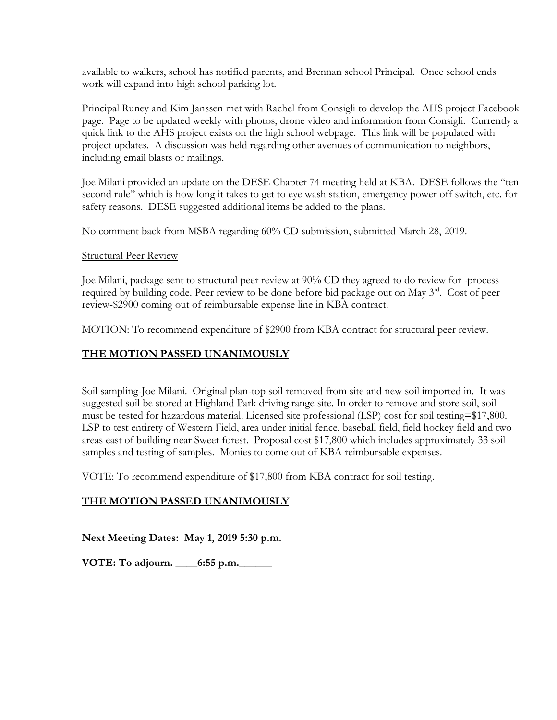available to walkers, school has notified parents, and Brennan school Principal. Once school ends work will expand into high school parking lot.

Principal Runey and Kim Janssen met with Rachel from Consigli to develop the AHS project Facebook page. Page to be updated weekly with photos, drone video and information from Consigli. Currently a quick link to the AHS project exists on the high school webpage. This link will be populated with project updates. A discussion was held regarding other avenues of communication to neighbors, including email blasts or mailings.

Joe Milani provided an update on the DESE Chapter 74 meeting held at KBA. DESE follows the "ten second rule" which is how long it takes to get to eye wash station, emergency power off switch, etc. for safety reasons. DESE suggested additional items be added to the plans.

No comment back from MSBA regarding 60% CD submission, submitted March 28, 2019.

### Structural Peer Review

Joe Milani, package sent to structural peer review at 90% CD they agreed to do review for -process required by building code. Peer review to be done before bid package out on May 3<sup>rd</sup>. Cost of peer review-\$2900 coming out of reimbursable expense line in KBA contract.

MOTION: To recommend expenditure of \$2900 from KBA contract for structural peer review.

# **THE MOTION PASSED UNANIMOUSLY**

Soil sampling-Joe Milani. Original plan-top soil removed from site and new soil imported in. It was suggested soil be stored at Highland Park driving range site. In order to remove and store soil, soil must be tested for hazardous material. Licensed site professional (LSP) cost for soil testing=\$17,800. LSP to test entirety of Western Field, area under initial fence, baseball field, field hockey field and two areas east of building near Sweet forest. Proposal cost \$17,800 which includes approximately 33 soil samples and testing of samples. Monies to come out of KBA reimbursable expenses.

VOTE: To recommend expenditure of \$17,800 from KBA contract for soil testing.

## **THE MOTION PASSED UNANIMOUSLY**

**Next Meeting Dates: May 1, 2019 5:30 p.m.**

**VOTE: To adjourn. \_\_\_\_6:55 p.m.\_\_\_\_\_\_**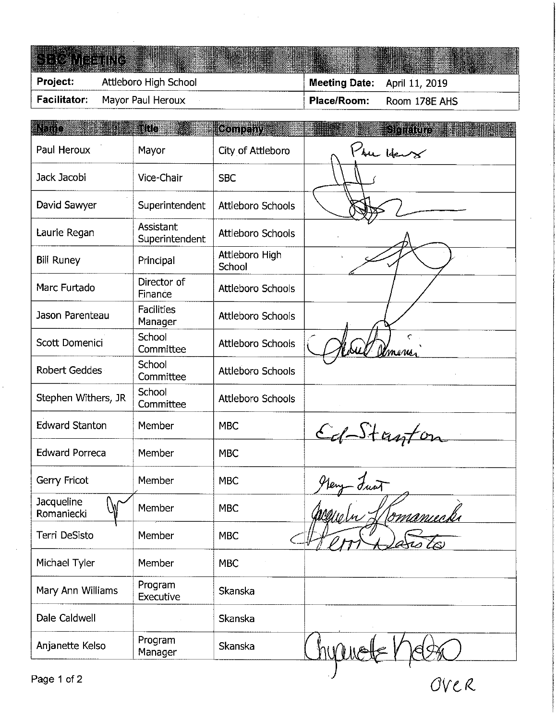#### S R C paargesteren.<br>Friedrich ſ.

|          | Facilitator: Mayor Paul Heroux | Place/Room:                  | Room 178E AHS |
|----------|--------------------------------|------------------------------|---------------|
| Project: | Attleboro High School          | Meeting Date: April 11, 2019 |               |
|          | <b>KOLOGIANIA</b>              |                              |               |

| Mayor<br>Vice-Chair<br>Superintendent<br>Assistant | City of Attleboro<br><b>SBC</b><br>Attleboro Schools | The Hears  |
|----------------------------------------------------|------------------------------------------------------|------------|
|                                                    |                                                      |            |
|                                                    |                                                      |            |
|                                                    |                                                      |            |
| Superintendent                                     | Attleboro Schools                                    |            |
| Principal                                          | Attleboro High<br>School                             |            |
| Director of<br>Finance                             | Attleboro Schools                                    |            |
| <b>Facilities</b><br>Manager                       | <b>Attleboro Schools</b>                             |            |
| School<br>Committee                                | Attleboro Schools                                    | mens       |
| School<br>Committee                                | <b>Attleboro Schools</b>                             |            |
| School<br>Committee                                | <b>Attleboro Schools</b>                             |            |
| Member                                             | <b>MBC</b>                                           | Ed-Stanton |
| Member                                             | <b>MBC</b>                                           |            |
| Member                                             | <b>MBC</b>                                           | turt       |
| Member                                             | <b>MBC</b>                                           | Nomanuek   |
| Member                                             | <b>MBC</b>                                           |            |
| Member                                             | <b>MBC</b>                                           |            |
| Program<br>Executive                               | Skanska                                              |            |
|                                                    | <b>Skanska</b>                                       |            |
| Program<br>Manager                                 | Skanska                                              |            |
|                                                    |                                                      |            |

OVER

Partie